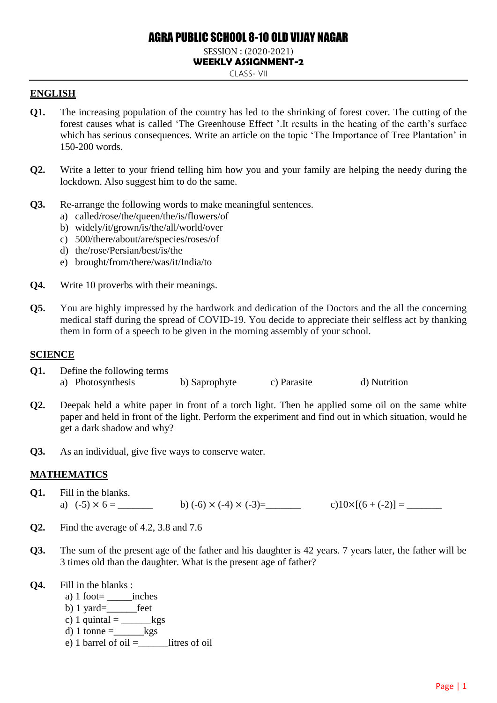# AGRA PUBLIC SCHOOL 8-10 OLD VIJAY NAGAR

#### SESSION : (2020-2021) **WEEKLY ASSIGNMENT-2** CLASS- VII

#### **ENGLISH**

- **Q1.** The increasing population of the country has led to the shrinking of forest cover. The cutting of the forest causes what is called 'The Greenhouse Effect '.It results in the heating of the earth's surface which has serious consequences. Write an article on the topic 'The Importance of Tree Plantation' in 150-200 words.
- **Q2.** Write a letter to your friend telling him how you and your family are helping the needy during the lockdown. Also suggest him to do the same.
- **Q3.** Re-arrange the following words to make meaningful sentences.
	- a) called/rose/the/queen/the/is/flowers/of
	- b) widely/it/grown/is/the/all/world/over
	- c) 500/there/about/are/species/roses/of
	- d) the/rose/Persian/best/is/the
	- e) brought/from/there/was/it/India/to
- **Q4.** Write 10 proverbs with their meanings.
- **Q5.** You are highly impressed by the hardwork and dedication of the Doctors and the all the concerning medical staff during the spread of COVID-19. You decide to appreciate their selfless act by thanking them in form of a speech to be given in the morning assembly of your school.

#### **SCIENCE**

- **Q1.** Define the following terms a) Photosynthesis b) Saprophyte c) Parasite d) Nutrition
- **Q2.** Deepak held a white paper in front of a torch light. Then he applied some oil on the same white paper and held in front of the light. Perform the experiment and find out in which situation, would he get a dark shadow and why?
- **Q3.** As an individual, give five ways to conserve water.

# **MATHEMATICS**

- **Q1.** Fill in the blanks.
- a)  $(-5) \times 6 =$  \_\_\_\_\_\_ b)  $(-6) \times (-4) \times (-3) =$  \_\_\_\_\_ c) $10 \times [(6 + (-2)] =$
- **Q2.** Find the average of 4.2, 3.8 and 7.6
- **Q3.** The sum of the present age of the father and his daughter is 42 years. 7 years later, the father will be 3 times old than the daughter. What is the present age of father?
- **Q4.** Fill in the blanks :
	- a)  $1$  foot= $\_\_$ inches
	- b)  $1$  yard= $fect$
	- c) 1 quintal  $=$  \_\_\_\_\_\_\_\_kgs
	- d) 1 tonne  $=$  kgs
	- e) 1 barrel of oil  $=$  litres of oil